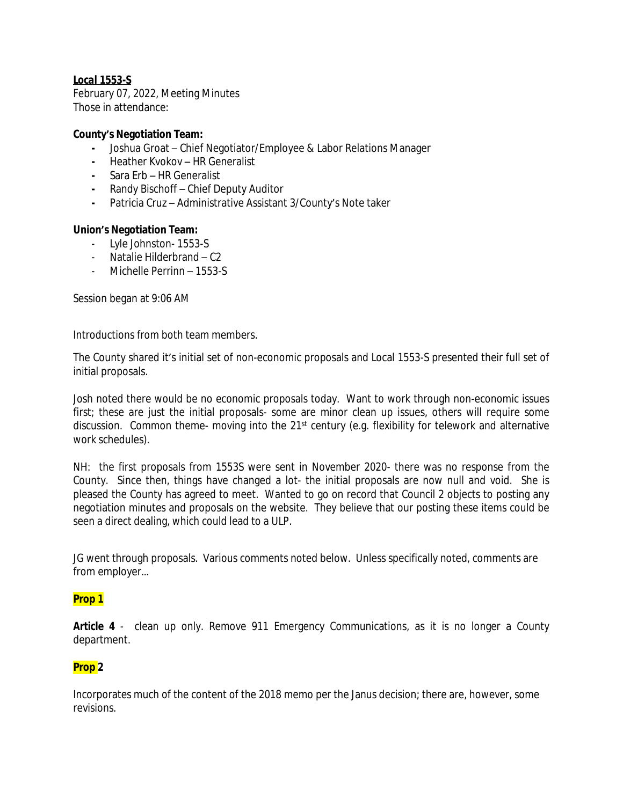## *Local 1553-S*

February 07, 2022, Meeting Minutes Those in attendance:

### **County's Negotiation Team:**

- **-** Joshua Groat Chief Negotiator/Employee & Labor Relations Manager
- **-** Heather Kvokov HR Generalist
- **-** Sara Erb HR Generalist
- **-** Randy Bischoff Chief Deputy Auditor
- **-** Patricia Cruz Administrative Assistant 3/County's Note taker

### **Union's Negotiation Team:**

- Lyle Johnston- 1553-S
- Natalie Hilderbrand C2
- Michelle Perrinn 1553-S

Session began at 9:06 AM

Introductions from both team members.

The County shared it's initial set of non-economic proposals and Local 1553-S presented their full set of initial proposals.

Josh noted there would be no economic proposals today. Want to work through non-economic issues first; these are just the initial proposals- some are minor clean up issues, others will require some discussion. Common theme- moving into the 21<sup>st</sup> century (e.g. flexibility for telework and alternative work schedules).

NH: the first proposals from 1553S were sent in November 2020- there was no response from the County. Since then, things have changed a lot- the initial proposals are now null and void. She is pleased the County has agreed to meet. Wanted to go on record that Council 2 objects to posting any negotiation minutes and proposals on the website. They believe that our posting these items could be seen a direct dealing, which could lead to a ULP.

JG went through proposals. Various comments noted below. Unless specifically noted, comments are from employer…

### **Prop 1**

**Article 4** - clean up only. Remove 911 Emergency Communications, as it is no longer a County department.

### **Prop 2**

Incorporates much of the content of the 2018 memo per the Janus decision; there are, however, some revisions.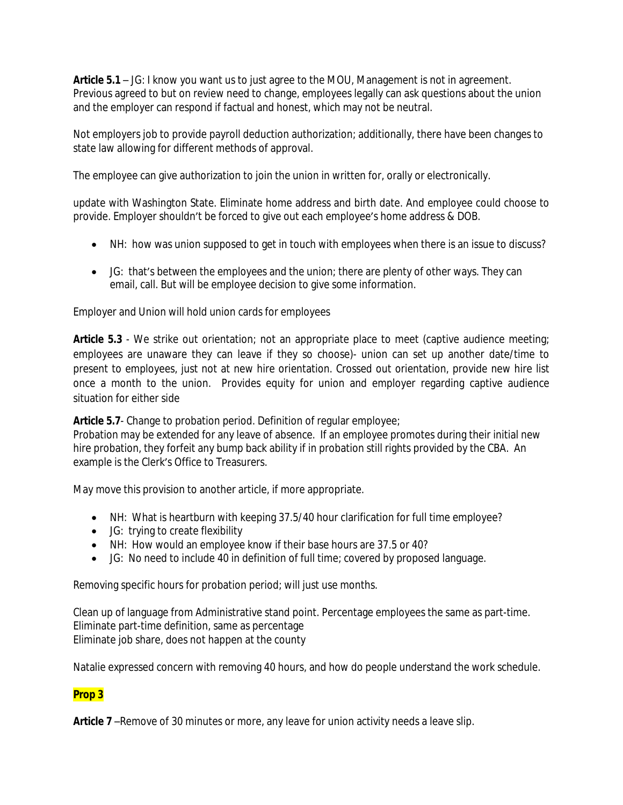**Article 5.1** – JG: I know you want us to just agree to the MOU, Management is not in agreement. Previous agreed to but on review need to change, employees legally can ask questions about the union and the employer can respond if factual and honest, which may not be neutral.

Not employers job to provide payroll deduction authorization; additionally, there have been changes to state law allowing for different methods of approval.

The employee can give authorization to join the union in written for, orally or electronically.

update with Washington State. Eliminate home address and birth date. And employee could choose to provide. Employer shouldn't be forced to give out each employee's home address & DOB.

- NH: how was union supposed to get in touch with employees when there is an issue to discuss?
- JG: that's between the employees and the union; there are plenty of other ways. They can email, call. But will be employee decision to give some information.

Employer and Union will hold union cards for employees

**Article 5.3** - We strike out orientation; not an appropriate place to meet (captive audience meeting; employees are unaware they can leave if they so choose)- union can set up another date/time to present to employees, just not at new hire orientation. Crossed out orientation, provide new hire list once a month to the union. Provides equity for union and employer regarding captive audience situation for either side

**Article 5.7**- Change to probation period. Definition of regular employee;

Probation may be extended for any leave of absence. If an employee promotes during their initial new hire probation, they forfeit any bump back ability if in probation still rights provided by the CBA. An example is the Clerk's Office to Treasurers.

May move this provision to another article, if more appropriate.

- NH: What is heartburn with keeping 37.5/40 hour clarification for full time employee?
- JG: trying to create flexibility
- NH: How would an employee know if their base hours are 37.5 or 40?
- JG: No need to include 40 in definition of full time; covered by proposed language.

Removing specific hours for probation period; will just use months.

Clean up of language from Administrative stand point. Percentage employees the same as part-time. Eliminate part-time definition, same as percentage Eliminate job share, does not happen at the county

Natalie expressed concern with removing 40 hours, and how do people understand the work schedule.

# **Prop 3**

**Article 7** –Remove of 30 minutes or more, any leave for union activity needs a leave slip.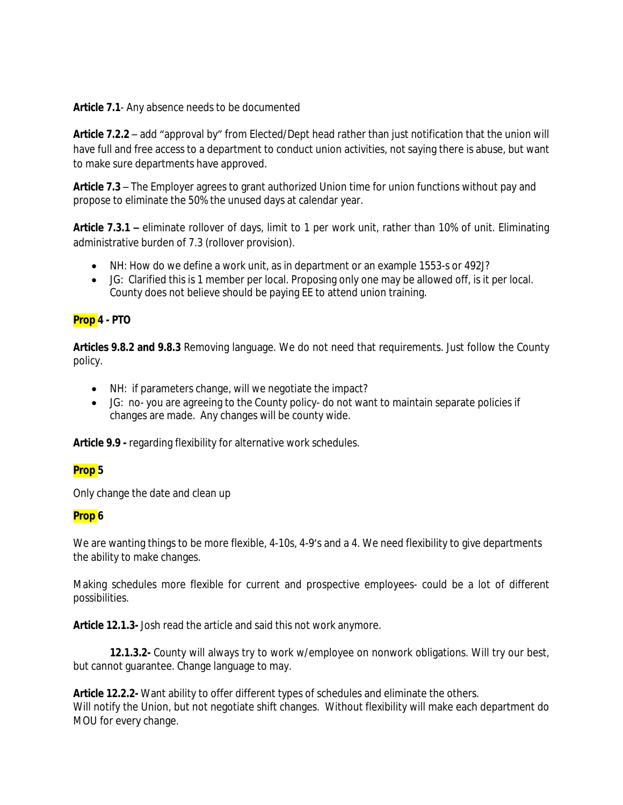**Article 7.1**- Any absence needs to be documented

**Article 7.2.2** – add "approval by" from Elected/Dept head rather than just notification that the union will have full and free access to a department to conduct union activities, not saying there is abuse, but want to make sure departments have approved.

**Article 7.3** – The Employer agrees to grant authorized Union time for union functions without pay and propose to eliminate the 50% the unused days at calendar year.

**Article 7.3.1 –** eliminate rollover of days, limit to 1 per work unit, rather than 10% of unit. Eliminating administrative burden of 7.3 (rollover provision).

- NH: How do we define a work unit, as in department or an example 1553-s or 492J?
- JG: Clarified this is 1 member per local. Proposing only one may be allowed off, is it per local. County does not believe should be paying EE to attend union training.

### **Prop 4 - PTO**

**Articles 9.8.2 and 9.8.3** Removing language. We do not need that requirements. Just follow the County policy.

- NH: if parameters change, will we negotiate the impact?
- JG: no- you are agreeing to the County policy- do not want to maintain separate policies if changes are made. Any changes will be county wide.

**Article 9.9 -** regarding flexibility for alternative work schedules.

### **Prop 5**

Only change the date and clean up

### **Prop 6**

We are wanting things to be more flexible, 4-10s, 4-9's and a 4. We need flexibility to give departments the ability to make changes.

Making schedules more flexible for current and prospective employees- could be a lot of different possibilities.

**Article 12.1.3-** Josh read the article and said this not work anymore.

**12.1.3.2-** County will always try to work w/employee on nonwork obligations. Will try our best, but cannot guarantee. Change language to may.

**Article 12.2.2-** Want ability to offer different types of schedules and eliminate the others. Will notify the Union, but not negotiate shift changes. Without flexibility will make each department do MOU for every change.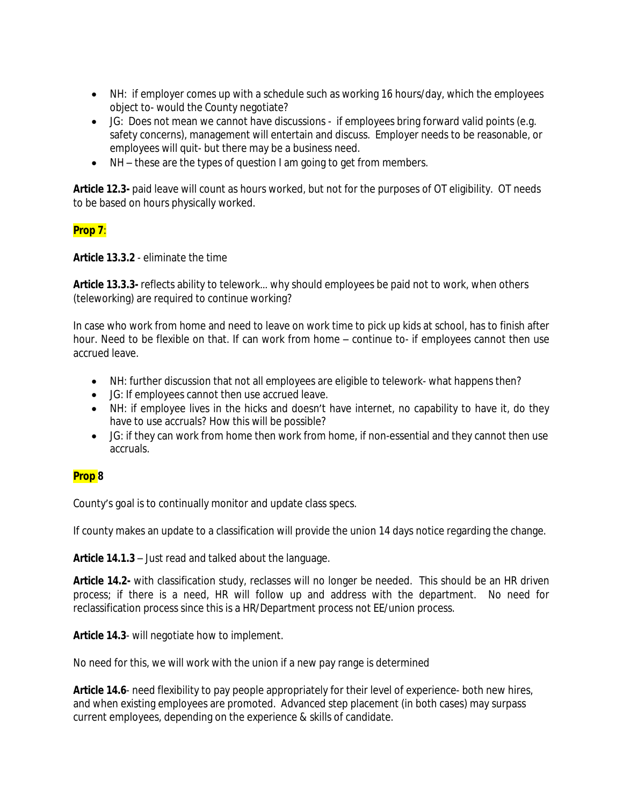- NH: if employer comes up with a schedule such as working 16 hours/day, which the employees object to- would the County negotiate?
- JG: Does not mean we cannot have discussions if employees bring forward valid points (e.g. safety concerns), management will entertain and discuss. Employer needs to be reasonable, or employees will quit- but there may be a business need.
- NH these are the types of question I am going to get from members.

**Article 12.3-** paid leave will count as hours worked, but not for the purposes of OT eligibility. OT needs to be based on hours physically worked.

# **Prop 7**:

**Article 13.3.2** - eliminate the time

**Article 13.3.3-** reflects ability to telework… why should employees be paid not to work, when others (teleworking) are required to continue working?

In case who work from home and need to leave on work time to pick up kids at school, has to finish after hour. Need to be flexible on that. If can work from home – continue to- if employees cannot then use accrued leave.

- NH: further discussion that not all employees are eligible to telework- what happens then?
- JG: If employees cannot then use accrued leave.
- NH: if employee lives in the hicks and doesn't have internet, no capability to have it, do they have to use accruals? How this will be possible?
- JG: if they can work from home then work from home, if non-essential and they cannot then use accruals.

# **Prop 8**

County's goal is to continually monitor and update class specs.

If county makes an update to a classification will provide the union 14 days notice regarding the change.

**Article 14.1.3** – Just read and talked about the language.

**Article 14.2-** with classification study, reclasses will no longer be needed. This should be an HR driven process; if there is a need, HR will follow up and address with the department. No need for reclassification process since this is a HR/Department process not EE/union process.

**Article 14.3**- will negotiate how to implement.

No need for this, we will work with the union if a new pay range is determined

**Article 14.6**- need flexibility to pay people appropriately for their level of experience- both new hires, and when existing employees are promoted. Advanced step placement (in both cases) may surpass current employees, depending on the experience & skills of candidate.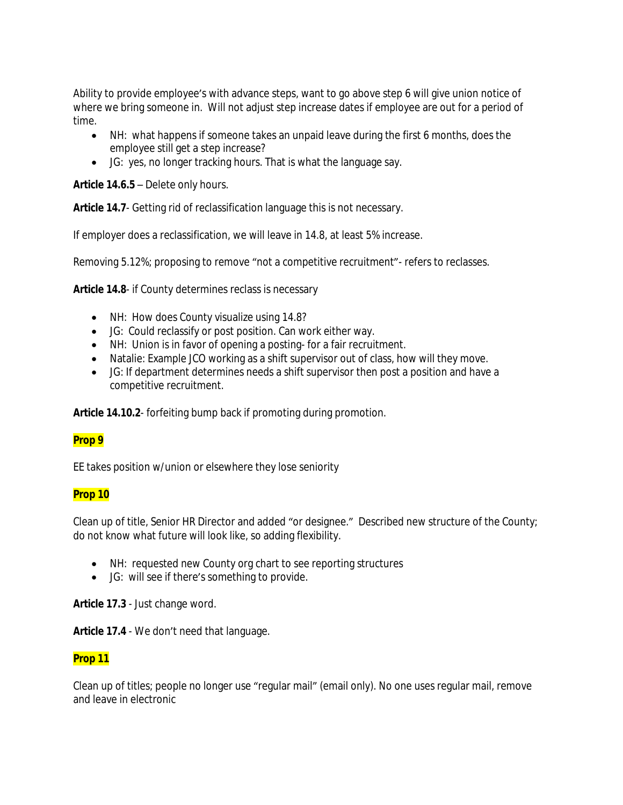Ability to provide employee's with advance steps, want to go above step 6 will give union notice of where we bring someone in. Will not adjust step increase dates if employee are out for a period of time.

- NH: what happens if someone takes an unpaid leave during the first 6 months, does the employee still get a step increase?
- JG: yes, no longer tracking hours. That is what the language say.

**Article 14.6.5** – Delete only hours.

**Article 14.7**- Getting rid of reclassification language this is not necessary.

If employer does a reclassification, we will leave in 14.8, at least 5% increase.

Removing 5.12%; proposing to remove "not a competitive recruitment"- refers to reclasses.

**Article 14.8**- if County determines reclass is necessary

- NH: How does County visualize using 14.8?
- JG: Could reclassify or post position. Can work either way.
- NH: Union is in favor of opening a posting- for a fair recruitment.
- Natalie: Example JCO working as a shift supervisor out of class, how will they move.
- JG: If department determines needs a shift supervisor then post a position and have a competitive recruitment.

**Article 14.10.2**- forfeiting bump back if promoting during promotion.

### **Prop 9**

EE takes position w/union or elsewhere they lose seniority

### **Prop 10**

Clean up of title, Senior HR Director and added "or designee." Described new structure of the County; do not know what future will look like, so adding flexibility.

- NH: requested new County org chart to see reporting structures
- JG: will see if there's something to provide.

**Article 17.3** - Just change word.

**Article 17.4** - We don't need that language.

### **Prop 11**

Clean up of titles; people no longer use "regular mail" (email only). No one uses regular mail, remove and leave in electronic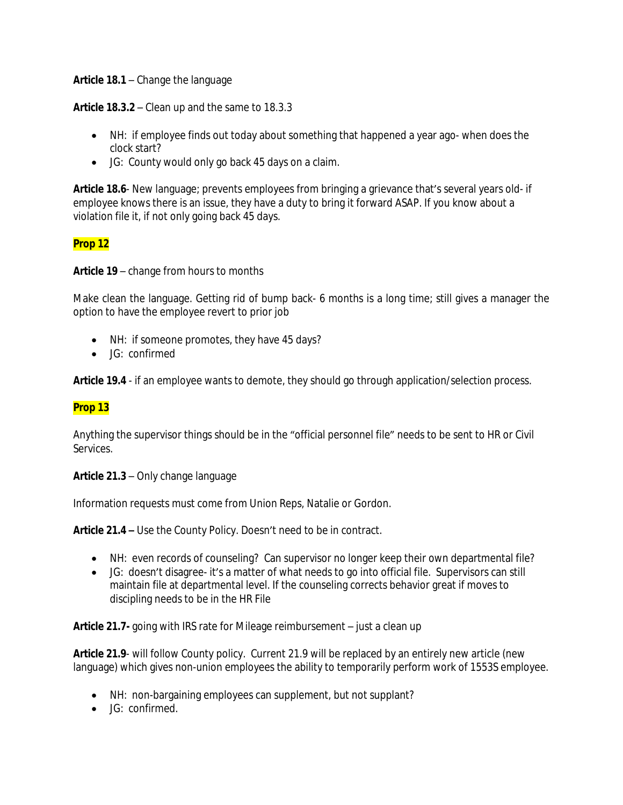**Article 18.1** – Change the language

**Article 18.3.2** – Clean up and the same to 18.3.3

- NH: if employee finds out today about something that happened a year ago- when does the clock start?
- JG: County would only go back 45 days on a claim.

**Article 18.6**- New language; prevents employees from bringing a grievance that's several years old- if employee knows there is an issue, they have a duty to bring it forward ASAP. If you know about a violation file it, if not only going back 45 days.

## **Prop 12**

**Article 19** – change from hours to months

Make clean the language. Getting rid of bump back- 6 months is a long time; still gives a manager the option to have the employee revert to prior job

- NH: if someone promotes, they have 45 days?
- JG: confirmed

**Article 19.4** - if an employee wants to demote, they should go through application/selection process.

# **Prop 13**

Anything the supervisor things should be in the "official personnel file" needs to be sent to HR or Civil Services.

**Article 21.3** – Only change language

Information requests must come from Union Reps, Natalie or Gordon.

**Article 21.4 –** Use the County Policy. Doesn't need to be in contract.

- NH: even records of counseling? Can supervisor no longer keep their own departmental file?
- JG: doesn't disagree- it's a matter of what needs to go into official file. Supervisors can still maintain file at departmental level. If the counseling corrects behavior great if moves to discipling needs to be in the HR File

**Article 21.7-** going with IRS rate for Mileage reimbursement – just a clean up

**Article 21.9**- will follow County policy. Current 21.9 will be replaced by an entirely new article (new language) which gives non-union employees the ability to temporarily perform work of 1553S employee.

- NH: non-bargaining employees can supplement, but not supplant?
- JG: confirmed.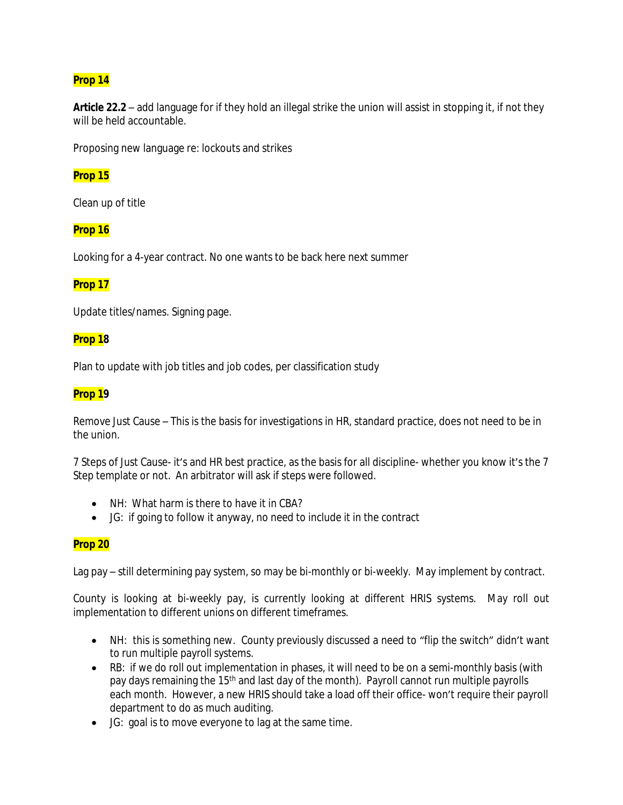# **Prop 14**

**Article 22.2** – add language for if they hold an illegal strike the union will assist in stopping it, if not they will be held accountable.

Proposing new language re: lockouts and strikes

### **Prop 15**

Clean up of title

### **Prop 16**

Looking for a 4-year contract. No one wants to be back here next summer

## **Prop 17**

Update titles/names. Signing page.

### **Prop 18**

Plan to update with job titles and job codes, per classification study

### **Prop 19**

Remove Just Cause – This is the basis for investigations in HR, standard practice, does not need to be in the union.

7 Steps of Just Cause- it's and HR best practice, as the basis for all discipline- whether you know it's the 7 Step template or not. An arbitrator will ask if steps were followed.

- NH: What harm is there to have it in CBA?
- JG: if going to follow it anyway, no need to include it in the contract

## **Prop 20**

Lag pay – still determining pay system, so may be bi-monthly or bi-weekly. May implement by contract.

County is looking at bi-weekly pay, is currently looking at different HRIS systems. May roll out implementation to different unions on different timeframes.

- NH: this is something new. County previously discussed a need to "flip the switch" didn't want to run multiple payroll systems.
- RB: if we do roll out implementation in phases, it will need to be on a semi-monthly basis (with pay days remaining the 15th and last day of the month). Payroll cannot run multiple payrolls each month. However, a new HRIS should take a load off their office- won't require their payroll department to do as much auditing.
- JG: goal is to move everyone to lag at the same time.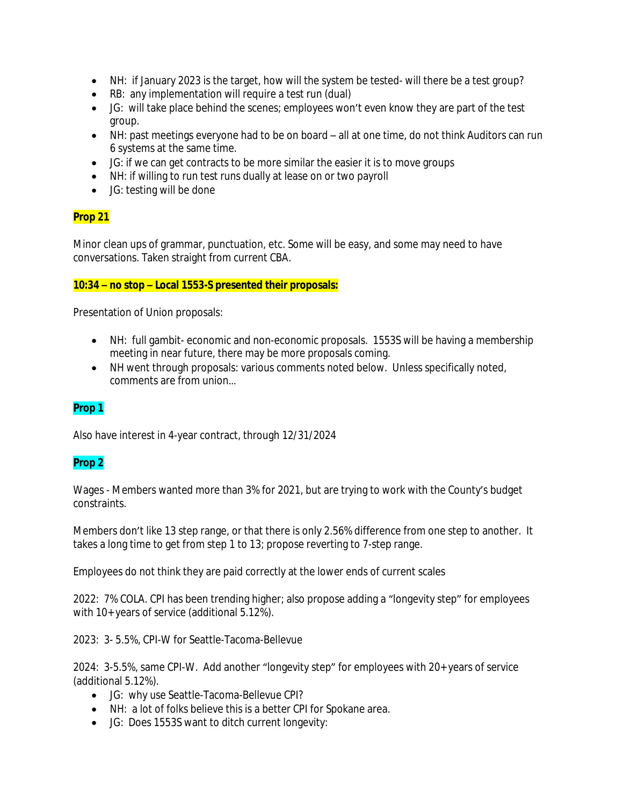- NH: if January 2023 is the target, how will the system be tested- will there be a test group?
- RB: any implementation will require a test run (dual)
- JG: will take place behind the scenes; employees won't even know they are part of the test group.
- NH: past meetings everyone had to be on board all at one time, do not think Auditors can run 6 systems at the same time.
- JG: if we can get contracts to be more similar the easier it is to move groups
- NH: if willing to run test runs dually at lease on or two payroll
- JG: testing will be done

# **Prop 21**

Minor clean ups of grammar, punctuation, etc. Some will be easy, and some may need to have conversations. Taken straight from current CBA.

### **10:34 – no stop – Local 1553-S presented their proposals:**

Presentation of Union proposals:

- NH: full gambit- economic and non-economic proposals. 1553S will be having a membership meeting in near future, there may be more proposals coming.
- NH went through proposals: various comments noted below. Unless specifically noted, comments are from union…

# **Prop 1**

Also have interest in 4-year contract, through 12/31/2024

### **Prop 2**

Wages - Members wanted more than 3% for 2021, but are trying to work with the County's budget constraints.

Members don't like 13 step range, or that there is only 2.56% difference from one step to another. It takes a long time to get from step 1 to 13; propose reverting to 7-step range.

Employees do not think they are paid correctly at the lower ends of current scales

2022: 7% COLA. CPI has been trending higher; also propose adding a "longevity step" for employees with 10+ years of service (additional 5.12%).

2023: 3- 5.5%, CPI-W for Seattle-Tacoma-Bellevue

2024: 3-5.5%, same CPI-W. Add another "longevity step" for employees with 20+ years of service (additional 5.12%).

- JG: why use Seattle-Tacoma-Bellevue CPI?
- NH: a lot of folks believe this is a better CPI for Spokane area.
- JG: Does 1553S want to ditch current longevity: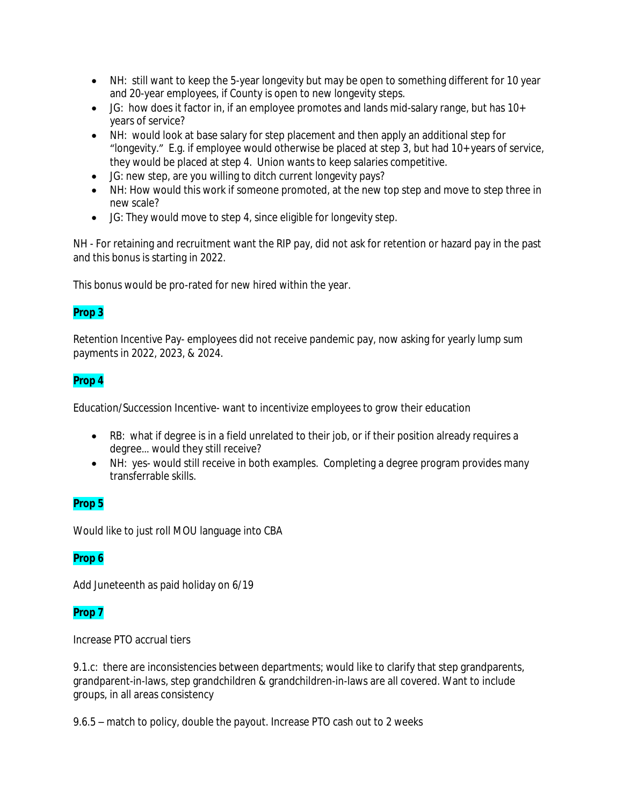- NH: still want to keep the 5-year longevity but may be open to something different for 10 year and 20-year employees, if County is open to new longevity steps.
- JG: how does it factor in, if an employee promotes and lands mid-salary range, but has 10+ years of service?
- NH: would look at base salary for step placement and then apply an additional step for "longevity." E.g. if employee would otherwise be placed at step 3, but had 10+ years of service, they would be placed at step 4. Union wants to keep salaries competitive.
- JG: new step, are you willing to ditch current longevity pays?
- NH: How would this work if someone promoted, at the new top step and move to step three in new scale?
- JG: They would move to step 4, since eligible for longevity step.

NH - For retaining and recruitment want the RIP pay, did not ask for retention or hazard pay in the past and this bonus is starting in 2022.

This bonus would be pro-rated for new hired within the year.

# **Prop 3**

Retention Incentive Pay- employees did not receive pandemic pay, now asking for yearly lump sum payments in 2022, 2023, & 2024.

## **Prop 4**

Education/Succession Incentive- want to incentivize employees to grow their education

- RB: what if degree is in a field unrelated to their job, or if their position already requires a degree… would they still receive?
- NH: yes- would still receive in both examples. Completing a degree program provides many transferrable skills.

# **Prop 5**

Would like to just roll MOU language into CBA

### **Prop 6**

Add Juneteenth as paid holiday on 6/19

### **Prop 7**

Increase PTO accrual tiers

9.1.c: there are inconsistencies between departments; would like to clarify that step grandparents, grandparent-in-laws, step grandchildren & grandchildren-in-laws are all covered. Want to include groups, in all areas consistency

9.6.5 – match to policy, double the payout. Increase PTO cash out to 2 weeks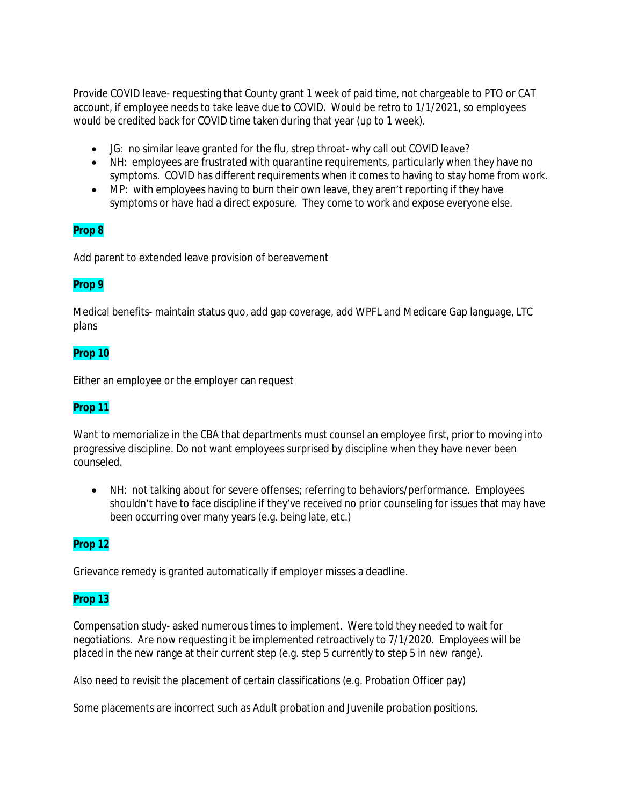Provide COVID leave- requesting that County grant 1 week of paid time, not chargeable to PTO or CAT account, if employee needs to take leave due to COVID. Would be retro to 1/1/2021, so employees would be credited back for COVID time taken during that year (up to 1 week).

- JG: no similar leave granted for the flu, strep throat- why call out COVID leave?
- NH: employees are frustrated with quarantine requirements, particularly when they have no symptoms. COVID has different requirements when it comes to having to stay home from work.
- MP: with employees having to burn their own leave, they aren't reporting if they have symptoms or have had a direct exposure. They come to work and expose everyone else.

## **Prop 8**

Add parent to extended leave provision of bereavement

### **Prop 9**

Medical benefits- maintain status quo, add gap coverage, add WPFL and Medicare Gap language, LTC plans

### **Prop 10**

Either an employee or the employer can request

### **Prop 11**

Want to memorialize in the CBA that departments must counsel an employee first, prior to moving into progressive discipline. Do not want employees surprised by discipline when they have never been counseled.

 NH: not talking about for severe offenses; referring to behaviors/performance. Employees shouldn't have to face discipline if they've received no prior counseling for issues that may have been occurring over many years (e.g. being late, etc.)

### **Prop 12**

Grievance remedy is granted automatically if employer misses a deadline.

### **Prop 13**

Compensation study- asked numerous times to implement. Were told they needed to wait for negotiations. Are now requesting it be implemented retroactively to 7/1/2020. Employees will be placed in the new range at their current step (e.g. step 5 currently to step 5 in new range).

Also need to revisit the placement of certain classifications (e.g. Probation Officer pay)

Some placements are incorrect such as Adult probation and Juvenile probation positions.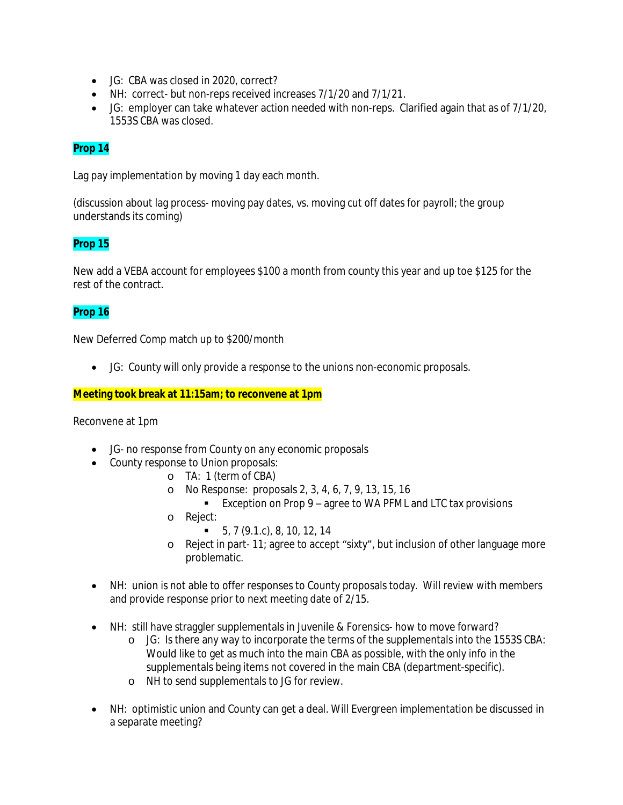- JG: CBA was closed in 2020, correct?
- NH: correct- but non-reps received increases 7/1/20 and 7/1/21.
- JG: employer can take whatever action needed with non-reps. Clarified again that as of 7/1/20, 1553S CBA was closed.

# **Prop 14**

Lag pay implementation by moving 1 day each month.

(discussion about lag process- moving pay dates, vs. moving cut off dates for payroll; the group understands its coming)

# **Prop 15**

New add a VEBA account for employees \$100 a month from county this year and up toe \$125 for the rest of the contract.

## **Prop 16**

New Deferred Comp match up to \$200/month

JG: County will only provide a response to the unions non-economic proposals.

### **Meeting took break at 11:15am; to reconvene at 1pm**

Reconvene at 1pm

- JG- no response from County on any economic proposals
- County response to Union proposals:
	- o TA: 1 (term of CBA)
	- o No Response: proposals 2, 3, 4, 6, 7, 9, 13, 15, 16
		- Exception on Prop 9 agree to WA PFML and LTC tax provisions
	- o Reject:
		- $\bullet$  5, 7 (9.1.c), 8, 10, 12, 14
	- o Reject in part- 11; agree to accept "sixty", but inclusion of other language more problematic.
- NH: union is not able to offer responses to County proposals today. Will review with members and provide response prior to next meeting date of 2/15.
- NH: still have straggler supplementals in Juvenile & Forensics- how to move forward?
	- o JG: Is there any way to incorporate the terms of the supplementals into the 1553S CBA: Would like to get as much into the main CBA as possible, with the only info in the supplementals being items not covered in the main CBA (department-specific).
	- o NH to send supplementals to JG for review.
- NH: optimistic union and County can get a deal. Will Evergreen implementation be discussed in a separate meeting?